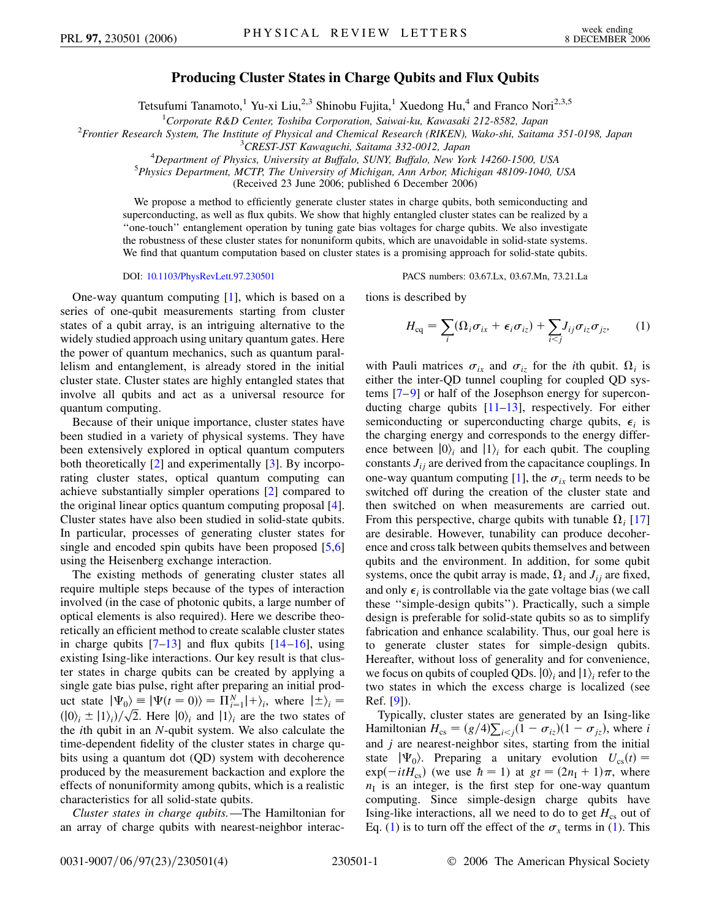## **Producing Cluster States in Charge Qubits and Flux Qubits**

Tetsufumi Tanamoto,<sup>1</sup> Yu-xi Liu,<sup>2,3</sup> Shinobu Fujita,<sup>1</sup> Xuedong Hu,<sup>4</sup> and Franco Nori<sup>2,3,5</sup>

<sup>1</sup>Corporate R&D Center, Toshiba Corporation, Saiwai-ku, Kawasaki 212-8582, Japan<br><sup>2</sup> Frontier Research System. The Institute of Physical and Chemical Research (PIKEN), Wake shi, Saitam

*Frontier Research System, The Institute of Physical and Chemical Research (RIKEN), Wako-shi, Saitama 351-0198, Japan* <sup>3</sup>

*CREST-JST Kawaguchi, Saitama 332-0012, Japan* <sup>4</sup>

<sup>4</sup>Department of Physics, University at Buffalo, SUNY, Buffalo, New York 14260-1500, USA<br><sup>5</sup> Physics Department MCTP The University of Michigan Ann Arbor Michigan 48109 1040.

*Physics Department, MCTP, The University of Michigan, Ann Arbor, Michigan 48109-1040, USA*

(Received 23 June 2006; published 6 December 2006)

We propose a method to efficiently generate cluster states in charge qubits, both semiconducting and superconducting, as well as flux qubits. We show that highly entangled cluster states can be realized by a ''one-touch'' entanglement operation by tuning gate bias voltages for charge qubits. We also investigate the robustness of these cluster states for nonuniform qubits, which are unavoidable in solid-state systems. We find that quantum computation based on cluster states is a promising approach for solid-state qubits.

DOI: [10.1103/PhysRevLett.97.230501](http://dx.doi.org/10.1103/PhysRevLett.97.230501) PACS numbers: 03.67.Lx, 03.67.Mn, 73.21.La

One-way quantum computing [\[1\]](#page-3-0), which is based on a series of one-qubit measurements starting from cluster states of a qubit array, is an intriguing alternative to the widely studied approach using unitary quantum gates. Here the power of quantum mechanics, such as quantum parallelism and entanglement, is already stored in the initial cluster state. Cluster states are highly entangled states that involve all qubits and act as a universal resource for quantum computing.

Because of their unique importance, cluster states have been studied in a variety of physical systems. They have been extensively explored in optical quantum computers both theoretically [[2\]](#page-3-1) and experimentally [\[3](#page-3-2)]. By incorporating cluster states, optical quantum computing can achieve substantially simpler operations [[2](#page-3-1)] compared to the original linear optics quantum computing proposal [[4\]](#page-3-3). Cluster states have also been studied in solid-state qubits. In particular, processes of generating cluster states for single and encoded spin qubits have been proposed [\[5](#page-3-4)[,6\]](#page-3-5) using the Heisenberg exchange interaction.

The existing methods of generating cluster states all require multiple steps because of the types of interaction involved (in the case of photonic qubits, a large number of optical elements is also required). Here we describe theoretically an efficient method to create scalable cluster states in charge qubits  $[7-13]$  $[7-13]$  $[7-13]$  and flux qubits  $[14-16]$  $[14-16]$  $[14-16]$  $[14-16]$ , using existing Ising-like interactions. Our key result is that cluster states in charge qubits can be created by applying a single gate bias pulse, right after preparing an initial product state  $|\Psi_0\rangle = |\Psi(t=0)\rangle = \prod_{i=1}^N |+\rangle_i$ , where  $|\pm\rangle_i =$  $\int$   $\int$   $\int$   $\int$   $\int$   $\sqrt{2}$ . Here  $|0\rangle$ <sub>*i*</sub> and  $|1\rangle$ <sub>*i*</sub> are the two states of  $\int$ the *i*th qubit in an *N*-qubit system. We also calculate the time-dependent fidelity of the cluster states in charge qubits using a quantum dot (QD) system with decoherence produced by the measurement backaction and explore the effects of nonuniformity among qubits, which is a realistic characteristics for all solid-state qubits.

*Cluster states in charge qubits.*—The Hamiltonian for an array of charge qubits with nearest-neighbor interac<span id="page-0-0"></span>tions is described by

$$
H_{\rm eq} = \sum_{i} (\Omega_i \sigma_{ix} + \epsilon_i \sigma_{iz}) + \sum_{i < j} J_{ij} \sigma_{iz} \sigma_{jz}, \qquad (1)
$$

with Pauli matrices  $\sigma_{ix}$  and  $\sigma_{iz}$  for the *i*th qubit.  $\Omega_i$  is either the inter-QD tunnel coupling for coupled QD systems [[7](#page-3-6)[–9\]](#page-3-10) or half of the Josephson energy for superconducting charge qubits [\[11–](#page-3-11)[13](#page-3-7)], respectively. For either semiconducting or superconducting charge qubits,  $\epsilon_i$  is the charging energy and corresponds to the energy difference between  $|0\rangle$ <sub>*i*</sub> and  $|1\rangle$ <sub>*i*</sub> for each qubit. The coupling constants  $J_{ij}$  are derived from the capacitance couplings. In one-way quantum computing [\[1\]](#page-3-0), the  $\sigma_{ix}$  term needs to be switched off during the creation of the cluster state and then switched on when measurements are carried out. From this perspective, charge qubits with tunable  $\Omega_i$  [\[17\]](#page-3-12) are desirable. However, tunability can produce decoherence and cross talk between qubits themselves and between qubits and the environment. In addition, for some qubit systems, once the qubit array is made,  $\Omega_i$  and  $J_{ii}$  are fixed, and only  $\epsilon_i$  is controllable via the gate voltage bias (we call these ''simple-design qubits''). Practically, such a simple design is preferable for solid-state qubits so as to simplify fabrication and enhance scalability. Thus, our goal here is to generate cluster states for simple-design qubits. Hereafter, without loss of generality and for convenience, we focus on qubits of coupled QDs.  $|0\rangle$ *<sub>i</sub>* and  $|1\rangle$ *<sub>i</sub>* refer to the two states in which the excess charge is localized (see Ref. [\[9](#page-3-10)]).

Typically, cluster states are generated by an Ising-like Hamiltonian  $H_{cs} = (g/4) \sum_{i < j} (1 - \sigma_{iz}) (1 - \sigma_{jz})$ , where *i* and *j* are nearest-neighbor sites, starting from the initial state  $|\Psi_0\rangle$ . Preparing a unitary evolution  $U_{cs}(t) =$  $\exp(-itH_{cs})$  (we use  $\hbar = 1$ ) at  $gt = (2n_1 + 1)\pi$ , where  $n<sub>I</sub>$  is an integer, is the first step for one-way quantum computing. Since simple-design charge qubits have Ising-like interactions, all we need to do to get  $H_{cs}$  out of Eq. ([1\)](#page-0-0) is to turn off the effect of the  $\sigma_x$  terms in [\(1](#page-0-0)). This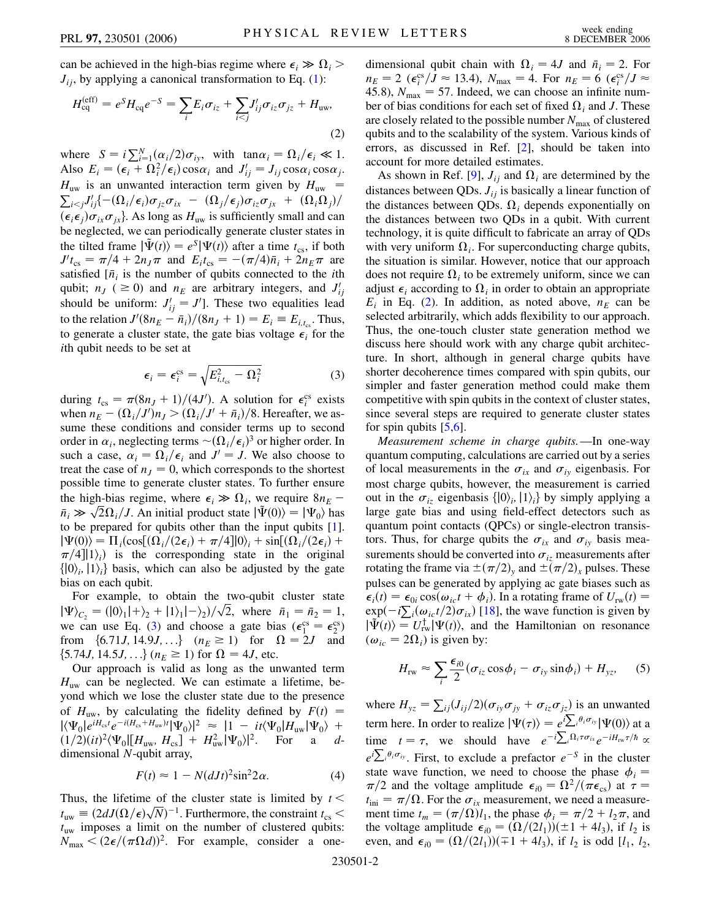can be achieved in the high-bias regime where  $\epsilon_i \gg \Omega_i$  $J_{ii}$ , by applying a canonical transformation to Eq. ([1\)](#page-0-0):

<span id="page-1-1"></span>
$$
H_{\text{cq}}^{\text{(eff)}} = e^S H_{\text{cq}} e^{-S} = \sum_i E_i \sigma_{iz} + \sum_{i < j} J'_{ij} \sigma_{iz} \sigma_{jz} + H_{\text{uw}},\tag{2}
$$

where  $S = i \sum_{i=1}^{N} (\alpha_i/2) \sigma_{iy}$ , with  $\tan \alpha_i = \Omega_i / \epsilon_i \ll 1$ . Also  $E_i = (\epsilon_i + \Omega_i^2/\epsilon_i)\cos\alpha_i$  and  $J'_{ij} = J_{ij}\cos\alpha_i\cos\alpha_j$ .  $H_{\text{uw}}$  is an unwanted interaction term given by  $H_{\text{uw}}$  =  $\int_{i < j} J'_{ij} \left\{ -(\Omega_i/\epsilon_i) \sigma_{jz} \sigma_{ix} - (\Omega_j/\epsilon_j) \sigma_{iz} \sigma_{jx} + (\Omega_i \Omega_j)/2 \right\}$  $(\epsilon_i \epsilon_j) \sigma_{ix} \sigma_{jx}$ . As long as  $H_{uw}$  is sufficiently small and can be neglected, we can periodically generate cluster states in the tilted frame  $|\tilde{\Psi}(t)\rangle = e^{S}|\Psi(t)\rangle$  after a time  $t_{\text{cs}}$ , if both  $J't_{cs} = \pi/4 + 2n_J\pi$  and  $E_i t_{cs} = -(\pi/4)\bar{n}_i + 2n_E\pi$  are satisfied  $[\bar{n}_i]$  is the number of qubits connected to the *i*th qubit;  $n_j$  (  $\geq$  0) and  $n_E$  are arbitrary integers, and  $J'_{ij}$ should be uniform:  $J'_{ij} = J'$ . These two equalities lead to the relation  $J'(8n_E - \bar{n}_i)/(8n_J + 1) = E_i \equiv E_{i,t_{cs}}$ . Thus, to generate a cluster state, the gate bias voltage  $\epsilon_i$  for the *i*th qubit needs to be set at

$$
\epsilon_i = \epsilon_i^{\text{cs}} = \sqrt{E_{i,t_{\text{cs}}}^2 - \Omega_i^2}
$$
 (3)

<span id="page-1-0"></span>during  $t_{cs} = \pi (8n_J + 1)/(4J')$ . A solution for  $\epsilon_i^{cs}$  exists when  $n_E - (\Omega_i / J')n_J > (\Omega_i / J' + \bar{n}_i) / 8$ . Hereafter, we assume these conditions and consider terms up to second order in  $\alpha_i$ , neglecting terms  $\sim (\Omega_i / \epsilon_i)^3$  or higher order. In such a case,  $\alpha_i = \Omega_i / \epsilon_i$  and  $J' = J$ . We also choose to treat the case of  $n<sub>J</sub> = 0$ , which corresponds to the shortest possible time to generate cluster states. To further ensure the high-bias regime, where  $\epsilon_i \gg \Omega_i$ , we require  $8n_E$  – the nigh-blas regime, where  $\epsilon_i \gg \Omega_i$ , we require  $\delta n_E - \bar{n}_i \gg \sqrt{2}\Omega_i / J$ . An initial product state  $|\tilde{\Psi}(0)\rangle = |\Psi_0\rangle$  has to be prepared for qubits other than the input qubits [[1\]](#page-3-0).  $|\Psi(0)\rangle = \Pi_i(\cos[(\Omega_i/(2\epsilon_i) + \pi/4]|0\rangle_i + \sin[(\Omega_i/(2\epsilon_i) +$  $\pi/4$ ||1)<sub>*i*</sub>) is the corresponding state in the original  $\{|0\rangle_i, |1\rangle_i\}$  basis, which can also be adjusted by the gate bias on each qubit.

For example, to obtain the two-qubit cluster state For example, to obtain the two-qubit cluster state<br>  $|\Psi\rangle_{C_2} = (0_1|+\rangle_2 + |1\rangle_1|-\rangle_2)/\sqrt{2}$ , where  $\bar{n}_1 = \bar{n}_2 = 1$ , we can use Eq. [\(3](#page-1-0)) and choose a gate bias  $(\epsilon_1^{\text{cs}} = \epsilon_2^{\text{cs}})$ from  $\{6.71J, 14.9J, ...\}$   $(n_E \ge 1)$  for  $\Omega = 2J$  and  ${5.74J, 14.5J, ...}$  ( $n_E \ge 1$ ) for  $\Omega = 4J$ , etc.

Our approach is valid as long as the unwanted term  $H_{\text{uw}}$  can be neglected. We can estimate a lifetime, beyond which we lose the cluster state due to the presence of  $H_{\text{uw}}$ , by calculating the fidelity defined by  $F(t) =$  $|\langle\Psi_0|e^{iH_{\rm cs}t}e^{-i(H_{\rm cs}+H_{\rm uw})t}|\Psi_0\rangle|^2 \approx |1 - it\langle\Psi_0|H_{\rm uw}|\Psi_0\rangle +$  $(1/2)(it)^2 \langle \Psi_0 | [H_{uw}, H_{cs}] + H_{uw}^2 | \Psi_0 \rangle|^2$ . For a *d*dimensional *N*-qubit array,

$$
F(t) \approx 1 - N(dJt)^2 \sin^2 2\alpha. \tag{4}
$$

Thus, the lifetime of the cluster state is limited by *t < t*<sub>uw</sub> =  $(2dJ(\Omega/\epsilon)\sqrt{N})^{-1}$ . Furthermore, the constraint *t*<sub>cs</sub> <  $t_{\text{uw}}$  imposes a limit on the number of clustered qubits:  $N_{\text{max}} < (2\epsilon/(\pi\Omega d))^2$ . For example, consider a onedimensional qubit chain with  $\Omega_i = 4J$  and  $\bar{n}_i = 2$ . For  $n_E = 2 \; (\epsilon_i^{\text{cs}}/J \approx 13.4), \; N_{\text{max}} = 4. \text{ For } n_E = 6 \; (\epsilon_i^{\text{cs}}/J \approx 13.4)$ 45.8),  $N_{\text{max}} = 57$ . Indeed, we can choose an infinite number of bias conditions for each set of fixed  $\Omega_i$  and *J*. These are closely related to the possible number *N*max of clustered qubits and to the scalability of the system. Various kinds of errors, as discussed in Ref. [[2](#page-3-1)], should be taken into account for more detailed estimates.

As shown in Ref. [[9\]](#page-3-10),  $J_{ij}$  and  $\Omega_i$  are determined by the distances between QDs.  $J_{ij}$  is basically a linear function of the distances between QDs.  $\Omega_i$  depends exponentially on the distances between two QDs in a qubit. With current technology, it is quite difficult to fabricate an array of QDs with very uniform  $\Omega_i$ . For superconducting charge qubits, the situation is similar. However, notice that our approach does not require  $\Omega_i$  to be extremely uniform, since we can adjust  $\epsilon_i$  according to  $\Omega_i$  in order to obtain an appropriate  $E_i$  in Eq. [\(2](#page-1-1)). In addition, as noted above,  $n_E$  can be selected arbitrarily, which adds flexibility to our approach. Thus, the one-touch cluster state generation method we discuss here should work with any charge qubit architecture. In short, although in general charge qubits have shorter decoherence times compared with spin qubits, our simpler and faster generation method could make them competitive with spin qubits in the context of cluster states, since several steps are required to generate cluster states for spin qubits  $[5,6]$  $[5,6]$  $[5,6]$ .

*Measurement scheme in charge qubits.*—In one-way quantum computing, calculations are carried out by a series of local measurements in the  $\sigma_{ix}$  and  $\sigma_{iy}$  eigenbasis. For most charge qubits, however, the measurement is carried out in the  $\sigma_{iz}$  eigenbasis  $\{|0\rangle_i, |1\rangle_i\}$  by simply applying a large gate bias and using field-effect detectors such as quantum point contacts (QPCs) or single-electron transistors. Thus, for charge qubits the  $\sigma_{ix}$  and  $\sigma_{iy}$  basis measurements should be converted into  $\sigma_{iz}$  measurements after rotating the frame via  $\pm (\pi/2)_y$  and  $\pm (\pi/2)_x$  pulses. These pulses can be generated by applying ac gate biases such as  $\epsilon_i(t) = \epsilon_{0i} \cos(\omega_{ic}t + \phi_i)$ . In a rotating frame of  $U_{rw}(t) =$  $\exp(-i\sum_i(\omega_{ic}t/2)\sigma_{ix})$  [\[18\]](#page-3-13), the wave function is given by  $|\tilde{\Psi}(t)\rangle = U_{rw}^{\dagger}|\Psi(t)\rangle$ , and the Hamiltonian on resonance  $(\omega_{ic} = 2\Omega_i)$  is given by:

<span id="page-1-2"></span>
$$
H_{\rm rw} \approx \sum_i \frac{\epsilon_{i0}}{2} (\sigma_{iz} \cos \phi_i - \sigma_{iy} \sin \phi_i) + H_{yz}, \quad (5)
$$

where  $H_{yz} = \sum_{ij} (J_{ij}/2)(\sigma_{iy}\sigma_{jy} + \sigma_{iz}\sigma_{jz})$  is an unwanted term here. In order to realize  $|\Psi(\tau)\rangle = e^{i\sum_{i} \theta_i \sigma_{iy}} |\Psi(0)\rangle$  at a time  $t = \tau$ , we should have  $e^{-i\sum_i \Omega_i \tau \sigma_{ix}} e^{-iH_{rw}\tau/\hbar} \propto$  $e^{i\sum_{i} \theta_{i}\sigma_{iy}}$ . First, to exclude a prefactor  $e^{-S}$  in the cluster state wave function, we need to choose the phase  $\phi_i =$  $\pi/2$  and the voltage amplitude  $\epsilon_{i0} = \Omega^2/(\pi \epsilon_{cs})$  at  $\tau =$  $t_{\text{ini}} = \pi / \Omega$ . For the  $\sigma_{ix}$  measurement, we need a measurement time  $t_m = (\pi/\Omega)l_1$ , the phase  $\phi_i = \pi/2 + l_2\pi$ , and the voltage amplitude  $\epsilon_{i0} = (\Omega/(2l_1))(\pm 1 + 4l_3)$ , if  $l_2$  is even, and  $\epsilon_{i0} = (\Omega/(2l_1))(\mp 1 + 4l_3)$ , if  $l_2$  is odd  $[l_1, l_2,$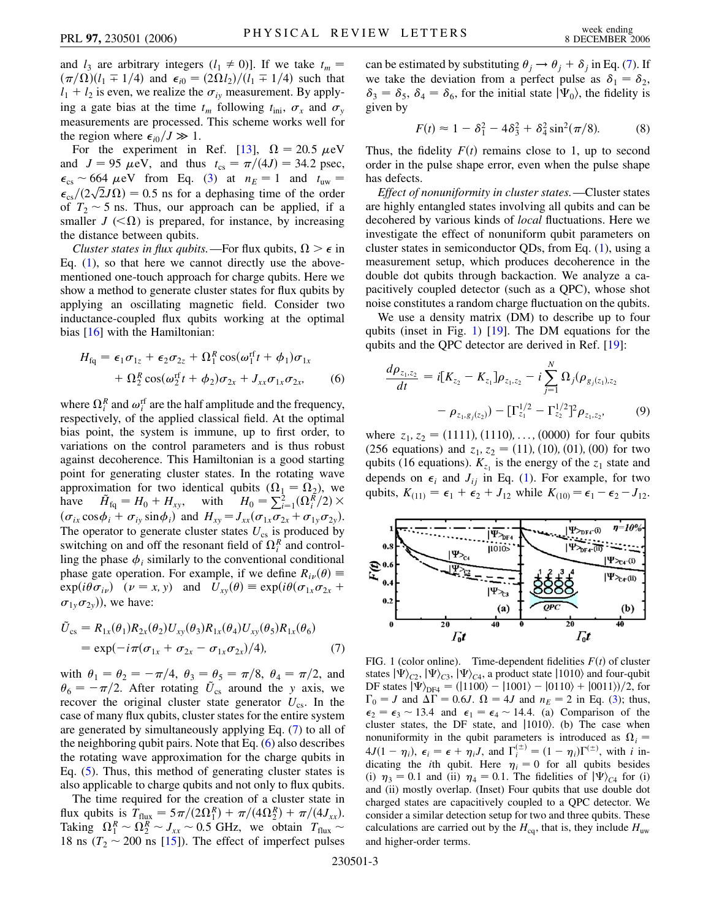and  $l_3$  are arbitrary integers  $(l_1 \neq 0)$ ]. If we take  $t_m =$  $(\pi/\Omega)(l_1 \mp 1/4)$  and  $\epsilon_{i0} = (2\Omega l_2)/(l_1 \mp 1/4)$  such that  $l_1 + l_2$  is even, we realize the  $\sigma_{iy}$  measurement. By applying a gate bias at the time  $t_m$  following  $t_{\text{ini}}$ ,  $\sigma_x$  and  $\sigma_y$ measurements are processed. This scheme works well for the region where  $\epsilon_{i0}/J \gg 1$ .

For the experiment in Ref. [[13](#page-3-7)],  $\Omega = 20.5 \mu\text{eV}$ and  $J = 95 \mu eV$ , and thus  $t_{cs} = \pi/(4J) = 34.2 \text{ psec}$ ,  $\epsilon_{\text{cs}} \sim 664 \ \mu\text{eV}$  from Eq. ([3\)](#page-1-0) at  $n_E = 1$  and  $t_{uw} =$  $\epsilon_{\rm cs} \sim 604 \ \mu\rm{eV}$  from Eq. (3) at  $n_E = 1$  and  $t_{\rm uw} = \epsilon_{\rm cs}/(2\sqrt{2}J\Omega) = 0.5$  ns for a dephasing time of the order of  $T_2 \sim 5$  ns. Thus, our approach can be applied, if a smaller  $J \ll \Omega$ ) is prepared, for instance, by increasing the distance between qubits.

*Cluster states in flux qubits.*—For flux qubits,  $\Omega > \epsilon$  in Eq.  $(1)$  $(1)$ , so that here we cannot directly use the abovementioned one-touch approach for charge qubits. Here we show a method to generate cluster states for flux qubits by applying an oscillating magnetic field. Consider two inductance-coupled flux qubits working at the optimal bias [\[16\]](#page-3-9) with the Hamiltonian:

<span id="page-2-1"></span>
$$
H_{\text{fq}} = \epsilon_1 \sigma_{1z} + \epsilon_2 \sigma_{2z} + \Omega_1^R \cos(\omega_1^{\text{rf}} t + \phi_1) \sigma_{1x}
$$
  
+ 
$$
\Omega_2^R \cos(\omega_2^{\text{rf}} t + \phi_2) \sigma_{2x} + J_{xx} \sigma_{1x} \sigma_{2x},
$$
 (6)

where  $\Omega_i^R$  and  $\omega_i^{\text{rf}}$  are the half amplitude and the frequency, respectively, of the applied classical field. At the optimal bias point, the system is immune, up to first order, to variations on the control parameters and is thus robust against decoherence. This Hamiltonian is a good starting point for generating cluster states. In the rotating wave approximation for two identical qubits  $(\Omega_1 = \Omega_2)$ , we have  $\tilde{H}_{\text{fq}} = H_0 + H_{xy}$ , with  $H_0 = \sum_{i=1}^{2} (\Omega_i^R/2) \times$  $(\sigma_{ix}\cos\phi_i + \sigma_{iy}\sin\phi_i)$  and  $H_{xy} = J_{xx}(\sigma_{1x}\sigma_{2x} + \sigma_{1y}\sigma_{2y}).$ The operator to generate cluster states  $U_{\text{cs}}$  is produced by switching on and off the resonant field of  $\Omega_i^R$  and controlling the phase  $\phi_i$  similarly to the conventional conditional phase gate operation. For example, if we define  $R_{i\nu}(\theta) \equiv$  $\exp(i\theta \sigma_{iv})$   $(\nu = x, y)$  and  $U_{xy}(\theta) \equiv \exp(i\theta(\sigma_{1x}\sigma_{2x} + y))$  $\sigma_{1v}\sigma_{2v}$ ), we have:

<span id="page-2-0"></span>
$$
\tilde{U}_{cs} = R_{1x}(\theta_1) R_{2x}(\theta_2) U_{xy}(\theta_3) R_{1x}(\theta_4) U_{xy}(\theta_5) R_{1x}(\theta_6) \n= \exp(-i\pi(\sigma_{1x} + \sigma_{2x} - \sigma_{1x}\sigma_{2x})/4),
$$
\n(7)

with  $\theta_1 = \theta_2 = -\pi/4$ ,  $\theta_3 = \theta_5 = \pi/8$ ,  $\theta_4 = \pi/2$ , and  $\theta_6 = -\pi/2$ . After rotating  $\tilde{U}_{cs}$  around the *y* axis, we recover the original cluster state generator  $U_{\text{cs}}$ . In the case of many flux qubits, cluster states for the entire system are generated by simultaneously applying Eq. ([7](#page-2-0)) to all of the neighboring qubit pairs. Note that Eq. [\(6\)](#page-2-1) also describes the rotating wave approximation for the charge qubits in Eq. ([5\)](#page-1-2). Thus, this method of generating cluster states is also applicable to charge qubits and not only to flux qubits.

The time required for the creation of a cluster state in flux qubits is  $T_{\text{flux}} = 5\pi/(2\Omega_1^R) + \pi/(4\Omega_2^R) + \pi/(4J_{xx})$ . Taking  $\Omega_1^R \sim \Omega_2^R \sim J_{xx} \sim 0.5$  GHz, we obtain  $T_{\text{flux}} \sim$ 18 ns ( $T_2 \sim 200$  ns [\[15\]](#page-3-14)). The effect of imperfect pulses

can be estimated by substituting  $\theta_j \rightarrow \theta_j + \delta_j$  in Eq. ([7\)](#page-2-0). If we take the deviation from a perfect pulse as  $\delta_1 = \delta_2$ ,  $\delta_3 = \delta_5$ ,  $\delta_4 = \delta_6$ , for the initial state  $|\Psi_0\rangle$ , the fidelity is given by

$$
F(t) \approx 1 - \delta_1^2 - 4\delta_3^2 + \delta_4^2 \sin^2(\pi/8). \tag{8}
$$

Thus, the fidelity  $F(t)$  remains close to 1, up to second order in the pulse shape error, even when the pulse shape has defects.

*Effect of nonuniformity in cluster states.*—Cluster states are highly entangled states involving all qubits and can be decohered by various kinds of *local* fluctuations. Here we investigate the effect of nonuniform qubit parameters on cluster states in semiconductor QDs, from Eq. ([1\)](#page-0-0), using a measurement setup, which produces decoherence in the double dot qubits through backaction. We analyze a capacitively coupled detector (such as a QPC), whose shot noise constitutes a random charge fluctuation on the qubits.

We use a density matrix (DM) to describe up to four qubits (inset in Fig. [1\)](#page-2-2) [[19](#page-3-15)]. The DM equations for the qubits and the QPC detector are derived in Ref. [\[19\]](#page-3-15):

<span id="page-2-3"></span>
$$
\frac{d\rho_{z_1,z_2}}{dt} = i[K_{z_2} - K_{z_1}] \rho_{z_1,z_2} - i \sum_{j=1}^N \Omega_j(\rho_{g_j(z_1),z_2} - \rho_{z_1,g_j(z_2)}) - [\Gamma_{z_1}^{1/2} - \Gamma_{z_2}^{1/2}]^2 \rho_{z_1,z_2}, \tag{9}
$$

where  $z_1$ ,  $z_2 = (1111)$ ,  $(1110)$ , ...,  $(0000)$  for four qubits  $(256 \text{ equations})$  and  $z_1, z_2 = (11), (10), (01), (00)$  for two qubits (16 equations).  $K_{z_1}$  is the energy of the  $z_1$  state and depends on  $\epsilon_i$  and  $J_{ij}$  in Eq. ([1](#page-0-0)). For example, for two qubits,  $K_{(11)} = \epsilon_1 + \epsilon_2 + J_{12}$  while  $K_{(10)} = \epsilon_1 - \epsilon_2 - J_{12}$ .

<span id="page-2-2"></span>

<span id="page-2-4"></span>FIG. 1 (color online). Time-dependent fidelities  $F(t)$  of cluster states  $|\Psi\rangle_{C2}$ ,  $|\Psi\rangle_{C3}$ ,  $|\Psi\rangle_{C4}$ , a product state  $|1010\rangle$  and four-qubit DF states  $|\Psi\rangle_{\text{DF4}} = (|1100\rangle - |1001\rangle - |0110\rangle + |0011\rangle)/2$ , for  $\Gamma_0 = J$  and  $\Delta \Gamma = 0.6J$ .  $\Omega = 4J$  and  $n_E = 2$  in Eq. ([3](#page-1-0)); thus,  $\epsilon_2 = \epsilon_3 \sim 13.4$  and  $\epsilon_1 = \epsilon_4 \sim 14.4$ . (a) Comparison of the cluster states, the DF state, and  $|1010\rangle$ . (b) The case when nonuniformity in the qubit parameters is introduced as  $\Omega_i$  $4J(1-\eta_i)$ ,  $\epsilon_i = \epsilon + \eta_i J$ , and  $\Gamma_i^{(\pm)} = (1-\eta_i)\Gamma^{(\pm)}$ , with *i* indicating the *i*th qubit. Here  $\eta_i = 0$  for all qubits besides (i)  $\eta_3 = 0.1$  and (ii)  $\eta_4 = 0.1$ . The fidelities of  $|\Psi\rangle_{C4}$  for (i) and (ii) mostly overlap. (Inset) Four qubits that use double dot charged states are capacitively coupled to a QPC detector. We consider a similar detection setup for two and three qubits. These calculations are carried out by the  $H_{eq}$ , that is, they include  $H_{uw}$ and higher-order terms.